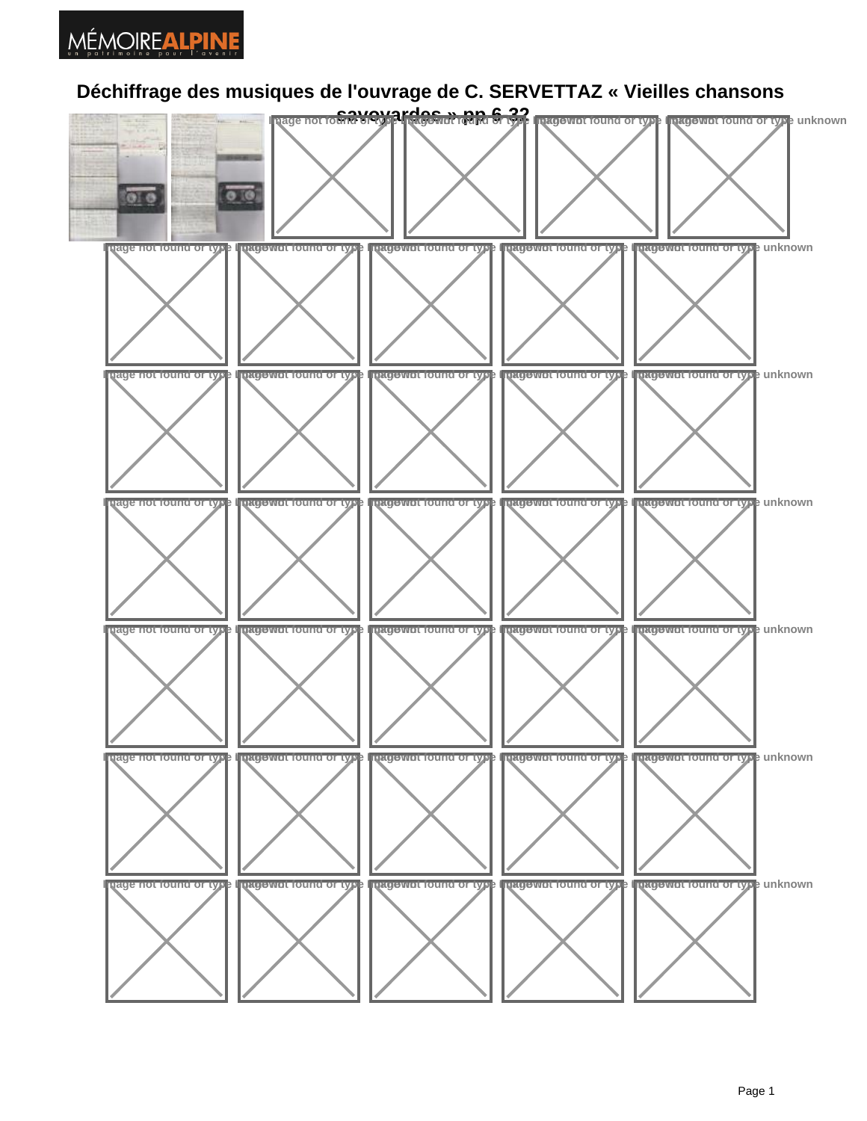## MÉMOIREALPINE

## **Déchiffrage des musiques de l'ouvrage de C. SERVETTAZ « Vieilles chansons**